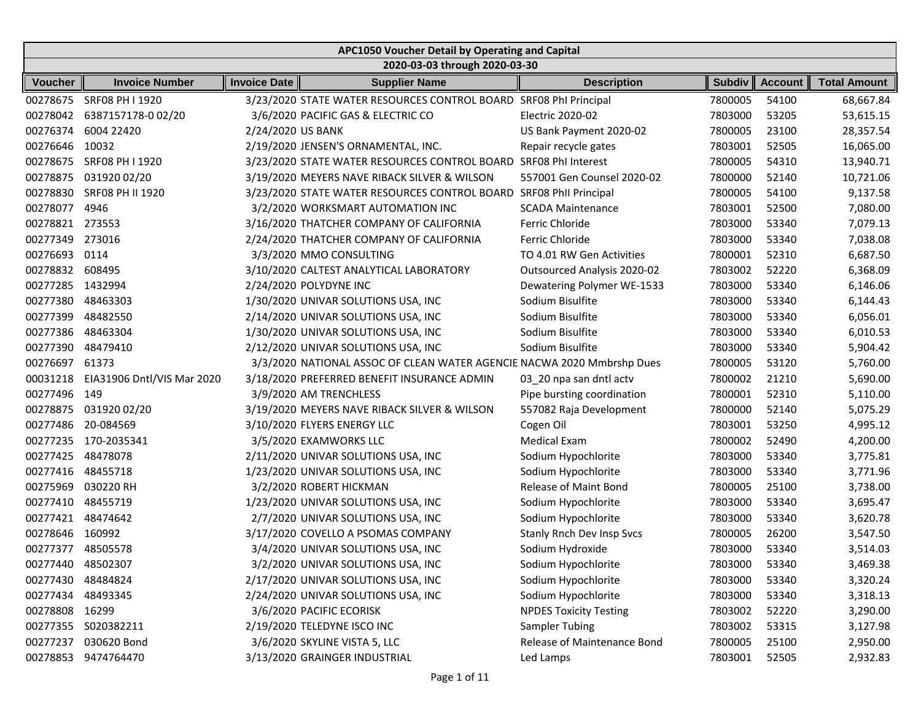|                   | APC1050 Voucher Detail by Operating and Capital |                     |                                                                        |                                  |               |                |                     |  |  |  |
|-------------------|-------------------------------------------------|---------------------|------------------------------------------------------------------------|----------------------------------|---------------|----------------|---------------------|--|--|--|
|                   |                                                 |                     | 2020-03-03 through 2020-03-30                                          |                                  |               |                |                     |  |  |  |
| <b>Voucher</b>    | <b>Invoice Number</b>                           | <b>Invoice Date</b> | <b>Supplier Name</b>                                                   | <b>Description</b>               | <b>Subdiv</b> | <b>Account</b> | <b>Total Amount</b> |  |  |  |
| 00278675          | SRF08 PH I 1920                                 |                     | 3/23/2020 STATE WATER RESOURCES CONTROL BOARD                          | SRF08 PhI Principal              | 7800005       | 54100          | 68,667.84           |  |  |  |
| 00278042          | 6387157178-002/20                               |                     | 3/6/2020 PACIFIC GAS & ELECTRIC CO                                     | Electric 2020-02                 | 7803000       | 53205          | 53,615.15           |  |  |  |
| 00276374          | 6004 22420                                      | 2/24/2020 US BANK   |                                                                        | US Bank Payment 2020-02          | 7800005       | 23100          | 28,357.54           |  |  |  |
| 00276646          | 10032                                           |                     | 2/19/2020 JENSEN'S ORNAMENTAL, INC.                                    | Repair recycle gates             | 7803001       | 52505          | 16,065.00           |  |  |  |
| 00278675          | SRF08 PH I 1920                                 |                     | 3/23/2020 STATE WATER RESOURCES CONTROL BOARD                          | SRF08 PhI Interest               | 7800005       | 54310          | 13,940.71           |  |  |  |
| 00278875          | 031920 02/20                                    |                     | 3/19/2020 MEYERS NAVE RIBACK SILVER & WILSON                           | 557001 Gen Counsel 2020-02       | 7800000       | 52140          | 10,721.06           |  |  |  |
| 00278830          | SRF08 PH II 1920                                |                     | 3/23/2020 STATE WATER RESOURCES CONTROL BOARD                          | SRF08 PhII Principal             | 7800005       | 54100          | 9,137.58            |  |  |  |
| 00278077          | 4946                                            |                     | 3/2/2020 WORKSMART AUTOMATION INC                                      | <b>SCADA Maintenance</b>         | 7803001       | 52500          | 7,080.00            |  |  |  |
| 00278821          | 273553                                          |                     | 3/16/2020 THATCHER COMPANY OF CALIFORNIA                               | Ferric Chloride                  | 7803000       | 53340          | 7,079.13            |  |  |  |
| 00277349          | 273016                                          |                     | 2/24/2020 THATCHER COMPANY OF CALIFORNIA                               | Ferric Chloride                  | 7803000       | 53340          | 7,038.08            |  |  |  |
| 00276693          | 0114                                            |                     | 3/3/2020 MMO CONSULTING                                                | TO 4.01 RW Gen Activities        | 7800001       | 52310          | 6,687.50            |  |  |  |
| 00278832          | 608495                                          |                     | 3/10/2020 CALTEST ANALYTICAL LABORATORY                                | Outsourced Analysis 2020-02      | 7803002       | 52220          | 6,368.09            |  |  |  |
| 00277285 1432994  |                                                 |                     | 2/24/2020 POLYDYNE INC                                                 | Dewatering Polymer WE-1533       | 7803000       | 53340          | 6,146.06            |  |  |  |
| 00277380          | 48463303                                        |                     | 1/30/2020 UNIVAR SOLUTIONS USA, INC                                    | Sodium Bisulfite                 | 7803000       | 53340          | 6,144.43            |  |  |  |
| 00277399          | 48482550                                        |                     | 2/14/2020 UNIVAR SOLUTIONS USA, INC                                    | Sodium Bisulfite                 | 7803000       | 53340          | 6,056.01            |  |  |  |
| 00277386          | 48463304                                        |                     | 1/30/2020 UNIVAR SOLUTIONS USA, INC                                    | Sodium Bisulfite                 | 7803000       | 53340          | 6,010.53            |  |  |  |
| 00277390          | 48479410                                        |                     | 2/12/2020 UNIVAR SOLUTIONS USA, INC                                    | Sodium Bisulfite                 | 7803000       | 53340          | 5,904.42            |  |  |  |
| 00276697          | 61373                                           |                     | 3/3/2020 NATIONAL ASSOC OF CLEAN WATER AGENCIE NACWA 2020 Mmbrshp Dues |                                  | 7800005       | 53120          | 5,760.00            |  |  |  |
| 00031218          | EIA31906 Dntl/VIS Mar 2020                      |                     | 3/18/2020 PREFERRED BENEFIT INSURANCE ADMIN                            | 03_20 npa san dntl actv          | 7800002       | 21210          | 5,690.00            |  |  |  |
| 00277496          | 149                                             |                     | 3/9/2020 AM TRENCHLESS                                                 | Pipe bursting coordination       | 7800001       | 52310          | 5,110.00            |  |  |  |
| 00278875          | 031920 02/20                                    |                     | 3/19/2020 MEYERS NAVE RIBACK SILVER & WILSON                           | 557082 Raja Development          | 7800000       | 52140          | 5,075.29            |  |  |  |
| 00277486          | 20-084569                                       |                     | 3/10/2020 FLYERS ENERGY LLC                                            | Cogen Oil                        | 7803001       | 53250          | 4,995.12            |  |  |  |
| 00277235          | 170-2035341                                     |                     | 3/5/2020 EXAMWORKS LLC                                                 | <b>Medical Exam</b>              | 7800002       | 52490          | 4,200.00            |  |  |  |
| 00277425          | 48478078                                        |                     | 2/11/2020 UNIVAR SOLUTIONS USA, INC                                    | Sodium Hypochlorite              | 7803000       | 53340          | 3,775.81            |  |  |  |
| 00277416          | 48455718                                        |                     | 1/23/2020 UNIVAR SOLUTIONS USA, INC                                    | Sodium Hypochlorite              | 7803000       | 53340          | 3,771.96            |  |  |  |
| 00275969          | 030220 RH                                       |                     | 3/2/2020 ROBERT HICKMAN                                                | Release of Maint Bond            | 7800005       | 25100          | 3,738.00            |  |  |  |
| 00277410          | 48455719                                        |                     | 1/23/2020 UNIVAR SOLUTIONS USA, INC                                    | Sodium Hypochlorite              | 7803000       | 53340          | 3,695.47            |  |  |  |
| 00277421          | 48474642                                        |                     | 2/7/2020 UNIVAR SOLUTIONS USA, INC                                     | Sodium Hypochlorite              | 7803000       | 53340          | 3,620.78            |  |  |  |
| 00278646          | 160992                                          |                     | 3/17/2020 COVELLO A PSOMAS COMPANY                                     | <b>Stanly Rnch Dev Insp Svcs</b> | 7800005       | 26200          | 3,547.50            |  |  |  |
| 00277377 48505578 |                                                 |                     | 3/4/2020 UNIVAR SOLUTIONS USA, INC                                     | Sodium Hydroxide                 | 7803000       | 53340          | 3,514.03            |  |  |  |
| 00277440          | 48502307                                        |                     | 3/2/2020 UNIVAR SOLUTIONS USA, INC                                     | Sodium Hypochlorite              | 7803000       | 53340          | 3,469.38            |  |  |  |
| 00277430          | 48484824                                        |                     | 2/17/2020 UNIVAR SOLUTIONS USA, INC                                    | Sodium Hypochlorite              | 7803000       | 53340          | 3,320.24            |  |  |  |
| 00277434          | 48493345                                        |                     | 2/24/2020 UNIVAR SOLUTIONS USA, INC                                    | Sodium Hypochlorite              | 7803000       | 53340          | 3,318.13            |  |  |  |
| 00278808 16299    |                                                 |                     | 3/6/2020 PACIFIC ECORISK                                               | <b>NPDES Toxicity Testing</b>    | 7803002       | 52220          | 3,290.00            |  |  |  |
| 00277355          | S020382211                                      |                     | 2/19/2020 TELEDYNE ISCO INC                                            | Sampler Tubing                   | 7803002       | 53315          | 3,127.98            |  |  |  |
| 00277237          | 030620 Bond                                     |                     | 3/6/2020 SKYLINE VISTA 5, LLC                                          | Release of Maintenance Bond      | 7800005       | 25100          | 2,950.00            |  |  |  |
| 00278853          | 9474764470                                      |                     | 3/13/2020 GRAINGER INDUSTRIAL                                          | Led Lamps                        | 7803001       | 52505          | 2,932.83            |  |  |  |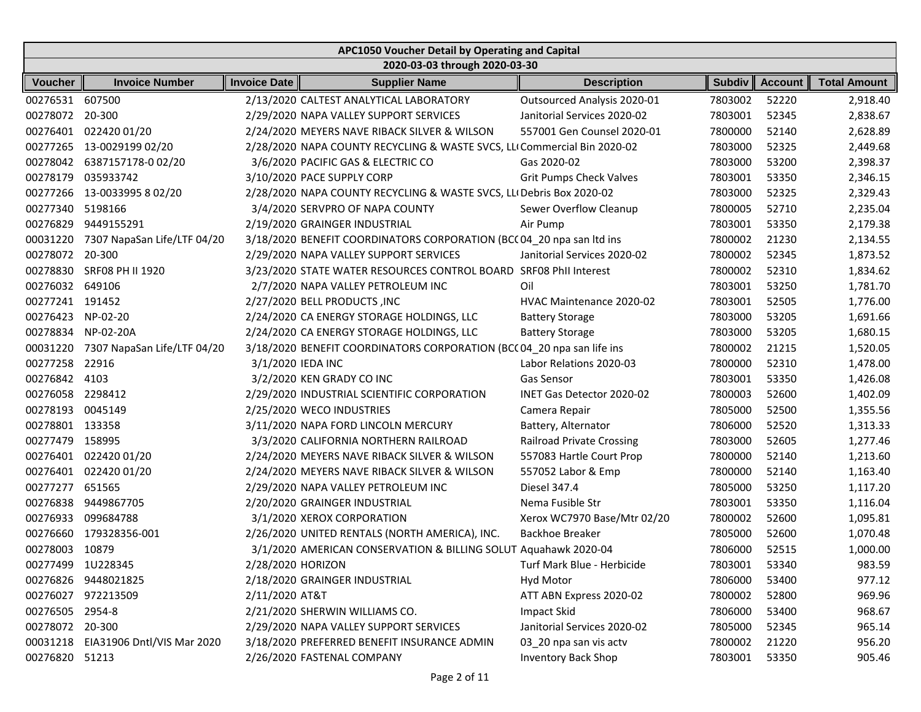|                   | APC1050 Voucher Detail by Operating and Capital |                     |                                                                          |                                  |               |                |                     |  |  |  |  |
|-------------------|-------------------------------------------------|---------------------|--------------------------------------------------------------------------|----------------------------------|---------------|----------------|---------------------|--|--|--|--|
|                   |                                                 |                     | 2020-03-03 through 2020-03-30                                            |                                  |               |                |                     |  |  |  |  |
| <b>Voucher</b>    | <b>Invoice Number</b>                           | <b>Invoice Date</b> | <b>Supplier Name</b>                                                     | <b>Description</b>               | <b>Subdiv</b> | <b>Account</b> | <b>Total Amount</b> |  |  |  |  |
| 00276531 607500   |                                                 |                     | 2/13/2020 CALTEST ANALYTICAL LABORATORY                                  | Outsourced Analysis 2020-01      | 7803002       | 52220          | 2,918.40            |  |  |  |  |
| 00278072          | 20-300                                          |                     | 2/29/2020 NAPA VALLEY SUPPORT SERVICES                                   | Janitorial Services 2020-02      | 7803001       | 52345          | 2,838.67            |  |  |  |  |
| 00276401          | 022420 01/20                                    |                     | 2/24/2020 MEYERS NAVE RIBACK SILVER & WILSON                             | 557001 Gen Counsel 2020-01       | 7800000       | 52140          | 2,628.89            |  |  |  |  |
| 00277265          | 13-0029199 02/20                                |                     | 2/28/2020 NAPA COUNTY RECYCLING & WASTE SVCS, LLI Commercial Bin 2020-02 |                                  | 7803000       | 52325          | 2,449.68            |  |  |  |  |
| 00278042          | 6387157178-002/20                               |                     | 3/6/2020 PACIFIC GAS & ELECTRIC CO                                       | Gas 2020-02                      | 7803000       | 53200          | 2,398.37            |  |  |  |  |
| 00278179          | 035933742                                       |                     | 3/10/2020 PACE SUPPLY CORP                                               | <b>Grit Pumps Check Valves</b>   | 7803001       | 53350          | 2,346.15            |  |  |  |  |
|                   | 00277266 13-0033995 8 02/20                     |                     | 2/28/2020 NAPA COUNTY RECYCLING & WASTE SVCS, LLI Debris Box 2020-02     |                                  | 7803000       | 52325          | 2,329.43            |  |  |  |  |
| 00277340          | 5198166                                         |                     | 3/4/2020 SERVPRO OF NAPA COUNTY                                          | Sewer Overflow Cleanup           | 7800005       | 52710          | 2,235.04            |  |  |  |  |
| 00276829          | 9449155291                                      |                     | 2/19/2020 GRAINGER INDUSTRIAL                                            | Air Pump                         | 7803001       | 53350          | 2,179.38            |  |  |  |  |
| 00031220          | 7307 NapaSan Life/LTF 04/20                     |                     | 3/18/2020 BENEFIT COORDINATORS CORPORATION (BCC 04_20 npa san ltd ins    |                                  | 7800002       | 21230          | 2,134.55            |  |  |  |  |
| 00278072          | 20-300                                          |                     | 2/29/2020 NAPA VALLEY SUPPORT SERVICES                                   | Janitorial Services 2020-02      | 7800002       | 52345          | 1,873.52            |  |  |  |  |
| 00278830          | SRF08 PH II 1920                                |                     | 3/23/2020 STATE WATER RESOURCES CONTROL BOARD SRF08 Phil Interest        |                                  | 7800002       | 52310          | 1,834.62            |  |  |  |  |
| 00276032          | 649106                                          |                     | 2/7/2020 NAPA VALLEY PETROLEUM INC                                       | Oil                              | 7803001       | 53250          | 1,781.70            |  |  |  |  |
| 00277241 191452   |                                                 |                     | 2/27/2020 BELL PRODUCTS , INC                                            | HVAC Maintenance 2020-02         | 7803001       | 52505          | 1,776.00            |  |  |  |  |
| 00276423          | NP-02-20                                        |                     | 2/24/2020 CA ENERGY STORAGE HOLDINGS, LLC                                | <b>Battery Storage</b>           | 7803000       | 53205          | 1,691.66            |  |  |  |  |
| 00278834          | NP-02-20A                                       |                     | 2/24/2020 CA ENERGY STORAGE HOLDINGS, LLC                                | <b>Battery Storage</b>           | 7803000       | 53205          | 1,680.15            |  |  |  |  |
| 00031220          | 7307 NapaSan Life/LTF 04/20                     |                     | 3/18/2020 BENEFIT COORDINATORS CORPORATION (BCC 04_20 npa san life ins   |                                  | 7800002       | 21215          | 1,520.05            |  |  |  |  |
| 00277258          | 22916                                           | 3/1/2020 IEDA INC   |                                                                          | Labor Relations 2020-03          | 7800000       | 52310          | 1,478.00            |  |  |  |  |
| 00276842          | 4103                                            |                     | 3/2/2020 KEN GRADY CO INC                                                | <b>Gas Sensor</b>                | 7803001       | 53350          | 1,426.08            |  |  |  |  |
| 00276058          | 2298412                                         |                     | 2/29/2020 INDUSTRIAL SCIENTIFIC CORPORATION                              | INET Gas Detector 2020-02        | 7800003       | 52600          | 1,402.09            |  |  |  |  |
| 00278193          | 0045149                                         |                     | 2/25/2020 WECO INDUSTRIES                                                | Camera Repair                    | 7805000       | 52500          | 1,355.56            |  |  |  |  |
| 00278801 133358   |                                                 |                     | 3/11/2020 NAPA FORD LINCOLN MERCURY                                      | Battery, Alternator              | 7806000       | 52520          | 1,313.33            |  |  |  |  |
| 00277479          | 158995                                          |                     | 3/3/2020 CALIFORNIA NORTHERN RAILROAD                                    | <b>Railroad Private Crossing</b> | 7803000       | 52605          | 1,277.46            |  |  |  |  |
| 00276401          | 022420 01/20                                    |                     | 2/24/2020 MEYERS NAVE RIBACK SILVER & WILSON                             | 557083 Hartle Court Prop         | 7800000       | 52140          | 1,213.60            |  |  |  |  |
| 00276401          | 022420 01/20                                    |                     | 2/24/2020 MEYERS NAVE RIBACK SILVER & WILSON                             | 557052 Labor & Emp               | 7800000       | 52140          | 1,163.40            |  |  |  |  |
| 00277277          | 651565                                          |                     | 2/29/2020 NAPA VALLEY PETROLEUM INC                                      | Diesel 347.4                     | 7805000       | 53250          | 1,117.20            |  |  |  |  |
| 00276838          | 9449867705                                      |                     | 2/20/2020 GRAINGER INDUSTRIAL                                            | Nema Fusible Str                 | 7803001       | 53350          | 1,116.04            |  |  |  |  |
| 00276933          | 099684788                                       |                     | 3/1/2020 XEROX CORPORATION                                               | Xerox WC7970 Base/Mtr 02/20      | 7800002       | 52600          | 1,095.81            |  |  |  |  |
| 00276660          | 179328356-001                                   |                     | 2/26/2020 UNITED RENTALS (NORTH AMERICA), INC.                           | <b>Backhoe Breaker</b>           | 7805000       | 52600          | 1,070.48            |  |  |  |  |
| 00278003 10879    |                                                 |                     | 3/1/2020 AMERICAN CONSERVATION & BILLING SOLUT Aquahawk 2020-04          |                                  | 7806000       | 52515          | 1,000.00            |  |  |  |  |
| 00277499 1U228345 |                                                 | 2/28/2020 HORIZON   |                                                                          | Turf Mark Blue - Herbicide       | 7803001       | 53340          | 983.59              |  |  |  |  |
|                   | 00276826 9448021825                             |                     | 2/18/2020 GRAINGER INDUSTRIAL                                            | Hyd Motor                        | 7806000       | 53400          | 977.12              |  |  |  |  |
|                   | 00276027 972213509                              | 2/11/2020 AT&T      |                                                                          | ATT ABN Express 2020-02          | 7800002       | 52800          | 969.96              |  |  |  |  |
| 00276505 2954-8   |                                                 |                     | 2/21/2020 SHERWIN WILLIAMS CO.                                           | <b>Impact Skid</b>               | 7806000       | 53400          | 968.67              |  |  |  |  |
| 00278072 20-300   |                                                 |                     | 2/29/2020 NAPA VALLEY SUPPORT SERVICES                                   | Janitorial Services 2020-02      | 7805000       | 52345          | 965.14              |  |  |  |  |
|                   | 00031218 EIA31906 Dntl/VIS Mar 2020             |                     | 3/18/2020 PREFERRED BENEFIT INSURANCE ADMIN                              | 03_20 npa san vis actv           | 7800002       | 21220          | 956.20              |  |  |  |  |
| 00276820 51213    |                                                 |                     | 2/26/2020 FASTENAL COMPANY                                               | <b>Inventory Back Shop</b>       | 7803001       | 53350          | 905.46              |  |  |  |  |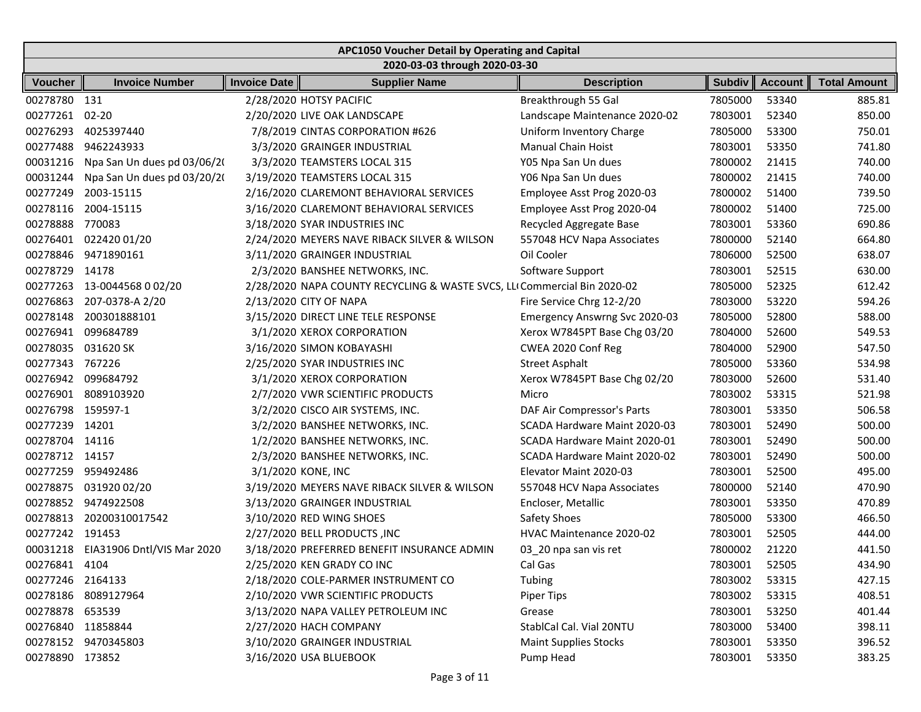|                   | APC1050 Voucher Detail by Operating and Capital |                     |                                                                          |                                 |         |         |                     |  |  |  |
|-------------------|-------------------------------------------------|---------------------|--------------------------------------------------------------------------|---------------------------------|---------|---------|---------------------|--|--|--|
|                   |                                                 |                     | 2020-03-03 through 2020-03-30                                            |                                 |         |         |                     |  |  |  |
| Voucher           | <b>Invoice Number</b>                           | <b>Invoice Date</b> | <b>Supplier Name</b>                                                     | <b>Description</b>              | Subdiv  | Account | <b>Total Amount</b> |  |  |  |
| 00278780 131      |                                                 |                     | 2/28/2020 HOTSY PACIFIC                                                  | Breakthrough 55 Gal             | 7805000 | 53340   | 885.81              |  |  |  |
| 00277261          | $02 - 20$                                       |                     | 2/20/2020 LIVE OAK LANDSCAPE                                             | Landscape Maintenance 2020-02   | 7803001 | 52340   | 850.00              |  |  |  |
| 00276293          | 4025397440                                      |                     | 7/8/2019 CINTAS CORPORATION #626                                         | Uniform Inventory Charge        | 7805000 | 53300   | 750.01              |  |  |  |
| 00277488          | 9462243933                                      |                     | 3/3/2020 GRAINGER INDUSTRIAL                                             | <b>Manual Chain Hoist</b>       | 7803001 | 53350   | 741.80              |  |  |  |
| 00031216          | Npa San Un dues pd 03/06/20                     |                     | 3/3/2020 TEAMSTERS LOCAL 315                                             | Y05 Npa San Un dues             | 7800002 | 21415   | 740.00              |  |  |  |
| 00031244          | Npa San Un dues pd 03/20/20                     |                     | 3/19/2020 TEAMSTERS LOCAL 315                                            | Y06 Npa San Un dues             | 7800002 | 21415   | 740.00              |  |  |  |
| 00277249          | 2003-15115                                      |                     | 2/16/2020 CLAREMONT BEHAVIORAL SERVICES                                  | Employee Asst Prog 2020-03      | 7800002 | 51400   | 739.50              |  |  |  |
| 00278116          | 2004-15115                                      |                     | 3/16/2020 CLAREMONT BEHAVIORAL SERVICES                                  | Employee Asst Prog 2020-04      | 7800002 | 51400   | 725.00              |  |  |  |
| 00278888          | 770083                                          |                     | 3/18/2020 SYAR INDUSTRIES INC                                            | Recycled Aggregate Base         | 7803001 | 53360   | 690.86              |  |  |  |
| 00276401          | 022420 01/20                                    |                     | 2/24/2020 MEYERS NAVE RIBACK SILVER & WILSON                             | 557048 HCV Napa Associates      | 7800000 | 52140   | 664.80              |  |  |  |
| 00278846          | 9471890161                                      |                     | 3/11/2020 GRAINGER INDUSTRIAL                                            | Oil Cooler                      | 7806000 | 52500   | 638.07              |  |  |  |
| 00278729          | 14178                                           |                     | 2/3/2020 BANSHEE NETWORKS, INC.                                          | Software Support                | 7803001 | 52515   | 630.00              |  |  |  |
|                   | 00277263 13-0044568 0 02/20                     |                     | 2/28/2020 NAPA COUNTY RECYCLING & WASTE SVCS, LLI Commercial Bin 2020-02 |                                 | 7805000 | 52325   | 612.42              |  |  |  |
| 00276863          | 207-0378-A 2/20                                 |                     | 2/13/2020 CITY OF NAPA                                                   | Fire Service Chrg 12-2/20       | 7803000 | 53220   | 594.26              |  |  |  |
| 00278148          | 200301888101                                    |                     | 3/15/2020 DIRECT LINE TELE RESPONSE                                      | Emergency Answrng Svc 2020-03   | 7805000 | 52800   | 588.00              |  |  |  |
| 00276941          | 099684789                                       |                     | 3/1/2020 XEROX CORPORATION                                               | Xerox W7845PT Base Chg 03/20    | 7804000 | 52600   | 549.53              |  |  |  |
| 00278035          | 031620 SK                                       |                     | 3/16/2020 SIMON KOBAYASHI                                                | CWEA 2020 Conf Reg              | 7804000 | 52900   | 547.50              |  |  |  |
| 00277343          | 767226                                          |                     | 2/25/2020 SYAR INDUSTRIES INC                                            | <b>Street Asphalt</b>           | 7805000 | 53360   | 534.98              |  |  |  |
| 00276942          | 099684792                                       |                     | 3/1/2020 XEROX CORPORATION                                               | Xerox W7845PT Base Chg 02/20    | 7803000 | 52600   | 531.40              |  |  |  |
| 00276901          | 8089103920                                      |                     | 2/7/2020 VWR SCIENTIFIC PRODUCTS                                         | Micro                           | 7803002 | 53315   | 521.98              |  |  |  |
| 00276798 159597-1 |                                                 |                     | 3/2/2020 CISCO AIR SYSTEMS, INC.                                         | DAF Air Compressor's Parts      | 7803001 | 53350   | 506.58              |  |  |  |
| 00277239 14201    |                                                 |                     | 3/2/2020 BANSHEE NETWORKS, INC.                                          | SCADA Hardware Maint 2020-03    | 7803001 | 52490   | 500.00              |  |  |  |
| 00278704 14116    |                                                 |                     | 1/2/2020 BANSHEE NETWORKS, INC.                                          | SCADA Hardware Maint 2020-01    | 7803001 | 52490   | 500.00              |  |  |  |
| 00278712 14157    |                                                 |                     | 2/3/2020 BANSHEE NETWORKS, INC.                                          | SCADA Hardware Maint 2020-02    | 7803001 | 52490   | 500.00              |  |  |  |
| 00277259          | 959492486                                       | 3/1/2020 KONE, INC  |                                                                          | Elevator Maint 2020-03          | 7803001 | 52500   | 495.00              |  |  |  |
| 00278875          | 031920 02/20                                    |                     | 3/19/2020 MEYERS NAVE RIBACK SILVER & WILSON                             | 557048 HCV Napa Associates      | 7800000 | 52140   | 470.90              |  |  |  |
| 00278852          | 9474922508                                      |                     | 3/13/2020 GRAINGER INDUSTRIAL                                            | Encloser, Metallic              | 7803001 | 53350   | 470.89              |  |  |  |
| 00278813          | 20200310017542                                  |                     | 3/10/2020 RED WING SHOES                                                 | Safety Shoes                    | 7805000 | 53300   | 466.50              |  |  |  |
| 00277242 191453   |                                                 |                     | 2/27/2020 BELL PRODUCTS , INC                                            | <b>HVAC Maintenance 2020-02</b> | 7803001 | 52505   | 444.00              |  |  |  |
|                   | 00031218 EIA31906 Dntl/VIS Mar 2020             |                     | 3/18/2020 PREFERRED BENEFIT INSURANCE ADMIN                              | 03_20 npa san vis ret           | 7800002 | 21220   | 441.50              |  |  |  |
| 00276841 4104     |                                                 |                     | 2/25/2020 KEN GRADY CO INC                                               | Cal Gas                         | 7803001 | 52505   | 434.90              |  |  |  |
| 00277246 2164133  |                                                 |                     | 2/18/2020 COLE-PARMER INSTRUMENT CO                                      | Tubing                          | 7803002 | 53315   | 427.15              |  |  |  |
|                   | 00278186 8089127964                             |                     | 2/10/2020 VWR SCIENTIFIC PRODUCTS                                        | Piper Tips                      | 7803002 | 53315   | 408.51              |  |  |  |
| 00278878 653539   |                                                 |                     | 3/13/2020 NAPA VALLEY PETROLEUM INC                                      | Grease                          | 7803001 | 53250   | 401.44              |  |  |  |
| 00276840 11858844 |                                                 |                     | 2/27/2020 HACH COMPANY                                                   | StablCal Cal. Vial 20NTU        | 7803000 | 53400   | 398.11              |  |  |  |
|                   | 00278152 9470345803                             |                     | 3/10/2020 GRAINGER INDUSTRIAL                                            | <b>Maint Supplies Stocks</b>    | 7803001 | 53350   | 396.52              |  |  |  |
| 00278890 173852   |                                                 |                     | 3/16/2020 USA BLUEBOOK                                                   | Pump Head                       | 7803001 | 53350   | 383.25              |  |  |  |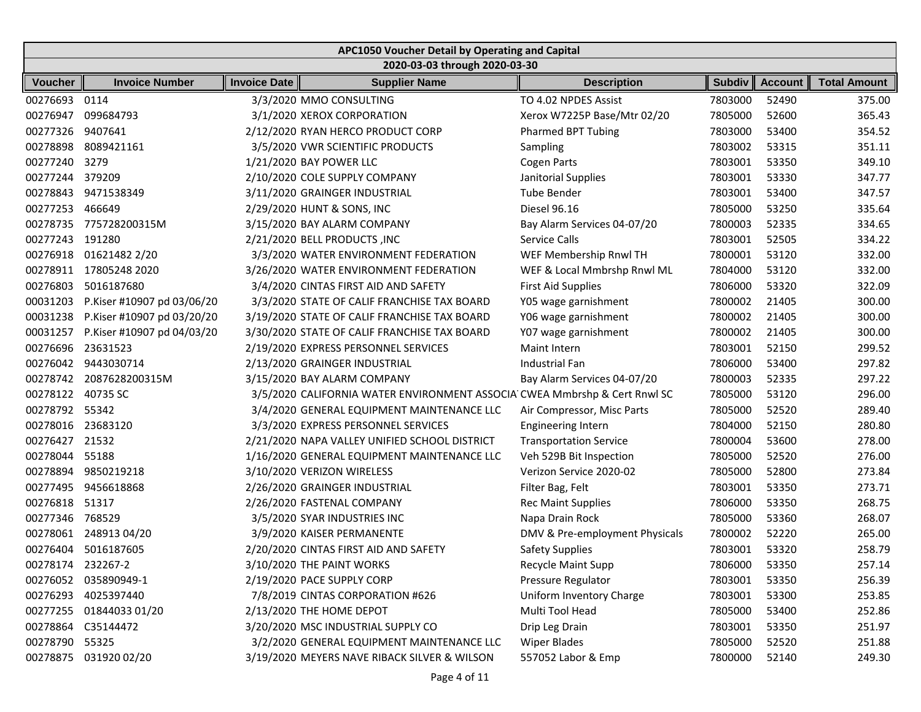|                   | APC1050 Voucher Detail by Operating and Capital |                     |                                                                           |                                |               |                |                     |  |  |  |
|-------------------|-------------------------------------------------|---------------------|---------------------------------------------------------------------------|--------------------------------|---------------|----------------|---------------------|--|--|--|
|                   |                                                 |                     | 2020-03-03 through 2020-03-30                                             |                                |               |                |                     |  |  |  |
| Voucher           | <b>Invoice Number</b>                           | <b>Invoice Date</b> | <b>Supplier Name</b>                                                      | <b>Description</b>             | <b>Subdiv</b> | <b>Account</b> | <b>Total Amount</b> |  |  |  |
| 00276693          | 0114                                            |                     | 3/3/2020 MMO CONSULTING                                                   | TO 4.02 NPDES Assist           | 7803000       | 52490          | 375.00              |  |  |  |
| 00276947          | 099684793                                       |                     | 3/1/2020 XEROX CORPORATION                                                | Xerox W7225P Base/Mtr 02/20    | 7805000       | 52600          | 365.43              |  |  |  |
| 00277326          | 9407641                                         |                     | 2/12/2020 RYAN HERCO PRODUCT CORP                                         | <b>Pharmed BPT Tubing</b>      | 7803000       | 53400          | 354.52              |  |  |  |
| 00278898          | 8089421161                                      |                     | 3/5/2020 VWR SCIENTIFIC PRODUCTS                                          | Sampling                       | 7803002       | 53315          | 351.11              |  |  |  |
| 00277240          | 3279                                            |                     | 1/21/2020 BAY POWER LLC                                                   | <b>Cogen Parts</b>             | 7803001       | 53350          | 349.10              |  |  |  |
| 00277244          | 379209                                          |                     | 2/10/2020 COLE SUPPLY COMPANY                                             | Janitorial Supplies            | 7803001       | 53330          | 347.77              |  |  |  |
| 00278843          | 9471538349                                      |                     | 3/11/2020 GRAINGER INDUSTRIAL                                             | <b>Tube Bender</b>             | 7803001       | 53400          | 347.57              |  |  |  |
| 00277253          | 466649                                          |                     | 2/29/2020 HUNT & SONS, INC                                                | Diesel 96.16                   | 7805000       | 53250          | 335.64              |  |  |  |
| 00278735          | 775728200315M                                   |                     | 3/15/2020 BAY ALARM COMPANY                                               | Bay Alarm Services 04-07/20    | 7800003       | 52335          | 334.65              |  |  |  |
| 00277243          | 191280                                          |                     | 2/21/2020 BELL PRODUCTS , INC                                             | Service Calls                  | 7803001       | 52505          | 334.22              |  |  |  |
| 00276918          | 01621482 2/20                                   |                     | 3/3/2020 WATER ENVIRONMENT FEDERATION                                     | WEF Membership Rnwl TH         | 7800001       | 53120          | 332.00              |  |  |  |
|                   | 00278911 17805248 2020                          |                     | 3/26/2020 WATER ENVIRONMENT FEDERATION                                    | WEF & Local Mmbrshp Rnwl ML    | 7804000       | 53120          | 332.00              |  |  |  |
| 00276803          | 5016187680                                      |                     | 3/4/2020 CINTAS FIRST AID AND SAFETY                                      | <b>First Aid Supplies</b>      | 7806000       | 53320          | 322.09              |  |  |  |
| 00031203          | P.Kiser #10907 pd 03/06/20                      |                     | 3/3/2020 STATE OF CALIF FRANCHISE TAX BOARD                               | Y05 wage garnishment           | 7800002       | 21405          | 300.00              |  |  |  |
| 00031238          | P.Kiser #10907 pd 03/20/20                      |                     | 3/19/2020 STATE OF CALIF FRANCHISE TAX BOARD                              | Y06 wage garnishment           | 7800002       | 21405          | 300.00              |  |  |  |
| 00031257          | P.Kiser #10907 pd 04/03/20                      |                     | 3/30/2020 STATE OF CALIF FRANCHISE TAX BOARD                              | Y07 wage garnishment           | 7800002       | 21405          | 300.00              |  |  |  |
| 00276696          | 23631523                                        |                     | 2/19/2020 EXPRESS PERSONNEL SERVICES                                      | Maint Intern                   | 7803001       | 52150          | 299.52              |  |  |  |
| 00276042          | 9443030714                                      |                     | 2/13/2020 GRAINGER INDUSTRIAL                                             | <b>Industrial Fan</b>          | 7806000       | 53400          | 297.82              |  |  |  |
| 00278742          | 2087628200315M                                  |                     | 3/15/2020 BAY ALARM COMPANY                                               | Bay Alarm Services 04-07/20    | 7800003       | 52335          | 297.22              |  |  |  |
| 00278122          | 40735 SC                                        |                     | 3/5/2020 CALIFORNIA WATER ENVIRONMENT ASSOCIA CWEA Mmbrshp & Cert Rnwl SC |                                | 7805000       | 53120          | 296.00              |  |  |  |
| 00278792 55342    |                                                 |                     | 3/4/2020 GENERAL EQUIPMENT MAINTENANCE LLC                                | Air Compressor, Misc Parts     | 7805000       | 52520          | 289.40              |  |  |  |
| 00278016          | 23683120                                        |                     | 3/3/2020 EXPRESS PERSONNEL SERVICES                                       | <b>Engineering Intern</b>      | 7804000       | 52150          | 280.80              |  |  |  |
| 00276427 21532    |                                                 |                     | 2/21/2020 NAPA VALLEY UNIFIED SCHOOL DISTRICT                             | <b>Transportation Service</b>  | 7800004       | 53600          | 278.00              |  |  |  |
| 00278044          | 55188                                           |                     | 1/16/2020 GENERAL EQUIPMENT MAINTENANCE LLC                               | Veh 529B Bit Inspection        | 7805000       | 52520          | 276.00              |  |  |  |
| 00278894          | 9850219218                                      |                     | 3/10/2020 VERIZON WIRELESS                                                | Verizon Service 2020-02        | 7805000       | 52800          | 273.84              |  |  |  |
| 00277495          | 9456618868                                      |                     | 2/26/2020 GRAINGER INDUSTRIAL                                             | Filter Bag, Felt               | 7803001       | 53350          | 273.71              |  |  |  |
| 00276818          | 51317                                           |                     | 2/26/2020 FASTENAL COMPANY                                                | <b>Rec Maint Supplies</b>      | 7806000       | 53350          | 268.75              |  |  |  |
| 00277346          | 768529                                          |                     | 3/5/2020 SYAR INDUSTRIES INC                                              | Napa Drain Rock                | 7805000       | 53360          | 268.07              |  |  |  |
| 00278061          | 24891304/20                                     |                     | 3/9/2020 KAISER PERMANENTE                                                | DMV & Pre-employment Physicals | 7800002       | 52220          | 265.00              |  |  |  |
|                   | 00276404 5016187605                             |                     | 2/20/2020 CINTAS FIRST AID AND SAFETY                                     | <b>Safety Supplies</b>         | 7803001       | 53320          | 258.79              |  |  |  |
| 00278174 232267-2 |                                                 |                     | 3/10/2020 THE PAINT WORKS                                                 | <b>Recycle Maint Supp</b>      | 7806000       | 53350          | 257.14              |  |  |  |
|                   | 00276052 035890949-1                            |                     | 2/19/2020 PACE SUPPLY CORP                                                | Pressure Regulator             | 7803001       | 53350          | 256.39              |  |  |  |
|                   | 00276293 4025397440                             |                     | 7/8/2019 CINTAS CORPORATION #626                                          | Uniform Inventory Charge       | 7803001       | 53300          | 253.85              |  |  |  |
|                   | 00277255 01844033 01/20                         |                     | 2/13/2020 THE HOME DEPOT                                                  | Multi Tool Head                | 7805000       | 53400          | 252.86              |  |  |  |
|                   | 00278864 C35144472                              |                     | 3/20/2020 MSC INDUSTRIAL SUPPLY CO                                        | Drip Leg Drain                 | 7803001       | 53350          | 251.97              |  |  |  |
| 00278790 55325    |                                                 |                     | 3/2/2020 GENERAL EQUIPMENT MAINTENANCE LLC                                | <b>Wiper Blades</b>            | 7805000       | 52520          | 251.88              |  |  |  |
| 00278875          | 031920 02/20                                    |                     | 3/19/2020 MEYERS NAVE RIBACK SILVER & WILSON                              | 557052 Labor & Emp             | 7800000       | 52140          | 249.30              |  |  |  |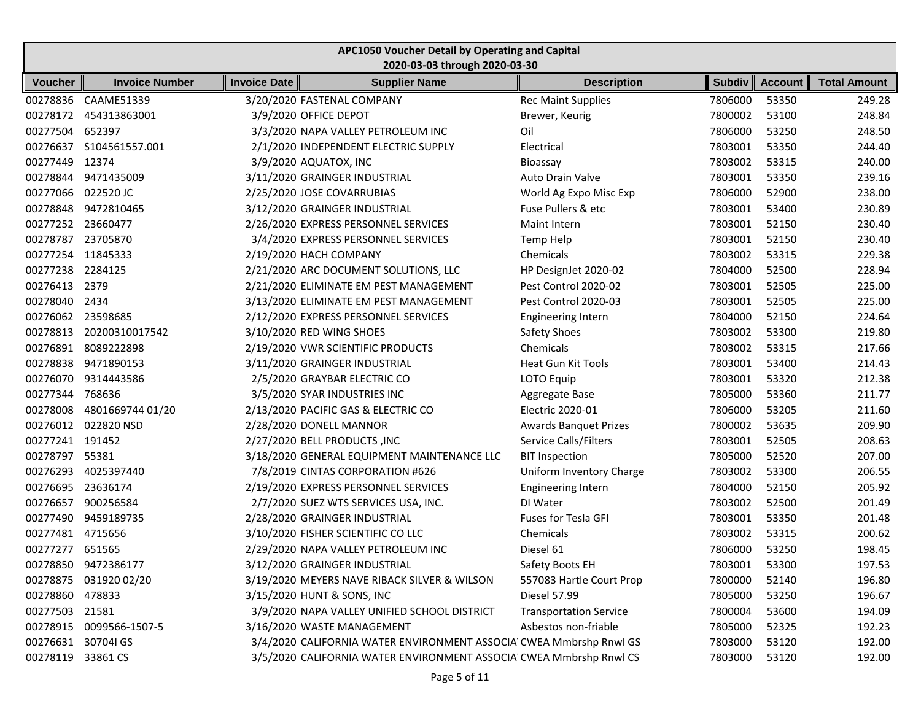|                    | APC1050 Voucher Detail by Operating and Capital |              |                                                                    |                               |               |                |                     |  |  |  |
|--------------------|-------------------------------------------------|--------------|--------------------------------------------------------------------|-------------------------------|---------------|----------------|---------------------|--|--|--|
|                    |                                                 |              | 2020-03-03 through 2020-03-30                                      |                               |               |                |                     |  |  |  |
| <b>Voucher</b>     | <b>Invoice Number</b>                           | Invoice Date | <b>Supplier Name</b>                                               | <b>Description</b>            | <b>Subdiv</b> | <b>Account</b> | <b>Total Amount</b> |  |  |  |
| 00278836           | CAAME51339                                      |              | 3/20/2020 FASTENAL COMPANY                                         | <b>Rec Maint Supplies</b>     | 7806000       | 53350          | 249.28              |  |  |  |
| 00278172           | 454313863001                                    |              | 3/9/2020 OFFICE DEPOT                                              | Brewer, Keurig                | 7800002       | 53100          | 248.84              |  |  |  |
| 00277504           | 652397                                          |              | 3/3/2020 NAPA VALLEY PETROLEUM INC                                 | Oil                           | 7806000       | 53250          | 248.50              |  |  |  |
| 00276637           | S104561557.001                                  |              | 2/1/2020 INDEPENDENT ELECTRIC SUPPLY                               | Electrical                    | 7803001       | 53350          | 244.40              |  |  |  |
| 00277449           | 12374                                           |              | 3/9/2020 AQUATOX, INC                                              | Bioassay                      | 7803002       | 53315          | 240.00              |  |  |  |
|                    | 00278844 9471435009                             |              | 3/11/2020 GRAINGER INDUSTRIAL                                      | Auto Drain Valve              | 7803001       | 53350          | 239.16              |  |  |  |
| 00277066 022520 JC |                                                 |              | 2/25/2020 JOSE COVARRUBIAS                                         | World Ag Expo Misc Exp        | 7806000       | 52900          | 238.00              |  |  |  |
| 00278848           | 9472810465                                      |              | 3/12/2020 GRAINGER INDUSTRIAL                                      | Fuse Pullers & etc            | 7803001       | 53400          | 230.89              |  |  |  |
| 00277252           | 23660477                                        |              | 2/26/2020 EXPRESS PERSONNEL SERVICES                               | Maint Intern                  | 7803001       | 52150          | 230.40              |  |  |  |
| 00278787           | 23705870                                        |              | 3/4/2020 EXPRESS PERSONNEL SERVICES                                | Temp Help                     | 7803001       | 52150          | 230.40              |  |  |  |
| 00277254 11845333  |                                                 |              | 2/19/2020 HACH COMPANY                                             | Chemicals                     | 7803002       | 53315          | 229.38              |  |  |  |
| 00277238 2284125   |                                                 |              | 2/21/2020 ARC DOCUMENT SOLUTIONS, LLC                              | HP DesignJet 2020-02          | 7804000       | 52500          | 228.94              |  |  |  |
| 00276413 2379      |                                                 |              | 2/21/2020 ELIMINATE EM PEST MANAGEMENT                             | Pest Control 2020-02          | 7803001       | 52505          | 225.00              |  |  |  |
| 00278040           | 2434                                            |              | 3/13/2020 ELIMINATE EM PEST MANAGEMENT                             | Pest Control 2020-03          | 7803001       | 52505          | 225.00              |  |  |  |
| 00276062 23598685  |                                                 |              | 2/12/2020 EXPRESS PERSONNEL SERVICES                               | <b>Engineering Intern</b>     | 7804000       | 52150          | 224.64              |  |  |  |
| 00278813           | 20200310017542                                  |              | 3/10/2020 RED WING SHOES                                           | Safety Shoes                  | 7803002       | 53300          | 219.80              |  |  |  |
| 00276891           | 8089222898                                      |              | 2/19/2020 VWR SCIENTIFIC PRODUCTS                                  | Chemicals                     | 7803002       | 53315          | 217.66              |  |  |  |
|                    | 00278838 9471890153                             |              | 3/11/2020 GRAINGER INDUSTRIAL                                      | <b>Heat Gun Kit Tools</b>     | 7803001       | 53400          | 214.43              |  |  |  |
| 00276070           | 9314443586                                      |              | 2/5/2020 GRAYBAR ELECTRIC CO                                       | LOTO Equip                    | 7803001       | 53320          | 212.38              |  |  |  |
| 00277344           | 768636                                          |              | 3/5/2020 SYAR INDUSTRIES INC                                       | Aggregate Base                | 7805000       | 53360          | 211.77              |  |  |  |
| 00278008           | 4801669744 01/20                                |              | 2/13/2020 PACIFIC GAS & ELECTRIC CO                                | <b>Electric 2020-01</b>       | 7806000       | 53205          | 211.60              |  |  |  |
|                    | 00276012 022820 NSD                             |              | 2/28/2020 DONELL MANNOR                                            | <b>Awards Banquet Prizes</b>  | 7800002       | 53635          | 209.90              |  |  |  |
| 00277241           | 191452                                          |              | 2/27/2020 BELL PRODUCTS , INC                                      | <b>Service Calls/Filters</b>  | 7803001       | 52505          | 208.63              |  |  |  |
| 00278797           | 55381                                           |              | 3/18/2020 GENERAL EQUIPMENT MAINTENANCE LLC                        | <b>BIT Inspection</b>         | 7805000       | 52520          | 207.00              |  |  |  |
| 00276293           | 4025397440                                      |              | 7/8/2019 CINTAS CORPORATION #626                                   | Uniform Inventory Charge      | 7803002       | 53300          | 206.55              |  |  |  |
| 00276695           | 23636174                                        |              | 2/19/2020 EXPRESS PERSONNEL SERVICES                               | <b>Engineering Intern</b>     | 7804000       | 52150          | 205.92              |  |  |  |
| 00276657           | 900256584                                       |              | 2/7/2020 SUEZ WTS SERVICES USA, INC.                               | DI Water                      | 7803002       | 52500          | 201.49              |  |  |  |
| 00277490           | 9459189735                                      |              | 2/28/2020 GRAINGER INDUSTRIAL                                      | <b>Fuses for Tesla GFI</b>    | 7803001       | 53350          | 201.48              |  |  |  |
| 00277481           | 4715656                                         |              | 3/10/2020 FISHER SCIENTIFIC CO LLC                                 | Chemicals                     | 7803002       | 53315          | 200.62              |  |  |  |
| 00277277 651565    |                                                 |              | 2/29/2020 NAPA VALLEY PETROLEUM INC                                | Diesel 61                     | 7806000       | 53250          | 198.45              |  |  |  |
|                    | 00278850 9472386177                             |              | 3/12/2020 GRAINGER INDUSTRIAL                                      | Safety Boots EH               | 7803001       | 53300          | 197.53              |  |  |  |
|                    | 00278875 031920 02/20                           |              | 3/19/2020 MEYERS NAVE RIBACK SILVER & WILSON                       | 557083 Hartle Court Prop      | 7800000       | 52140          | 196.80              |  |  |  |
| 00278860 478833    |                                                 |              | 3/15/2020 HUNT & SONS, INC                                         | Diesel 57.99                  | 7805000       | 53250          | 196.67              |  |  |  |
| 00277503 21581     |                                                 |              | 3/9/2020 NAPA VALLEY UNIFIED SCHOOL DISTRICT                       | <b>Transportation Service</b> | 7800004       | 53600          | 194.09              |  |  |  |
|                    | 00278915 0099566-1507-5                         |              | 3/16/2020 WASTE MANAGEMENT                                         | Asbestos non-friable          | 7805000       | 52325          | 192.23              |  |  |  |
| 00276631           | 30704I GS                                       |              | 3/4/2020 CALIFORNIA WATER ENVIRONMENT ASSOCIA CWEA Mmbrshp Rnwl GS |                               | 7803000       | 53120          | 192.00              |  |  |  |
| 00278119 33861 CS  |                                                 |              | 3/5/2020 CALIFORNIA WATER ENVIRONMENT ASSOCIA CWEA Mmbrshp Rnwl CS |                               | 7803000       | 53120          | 192.00              |  |  |  |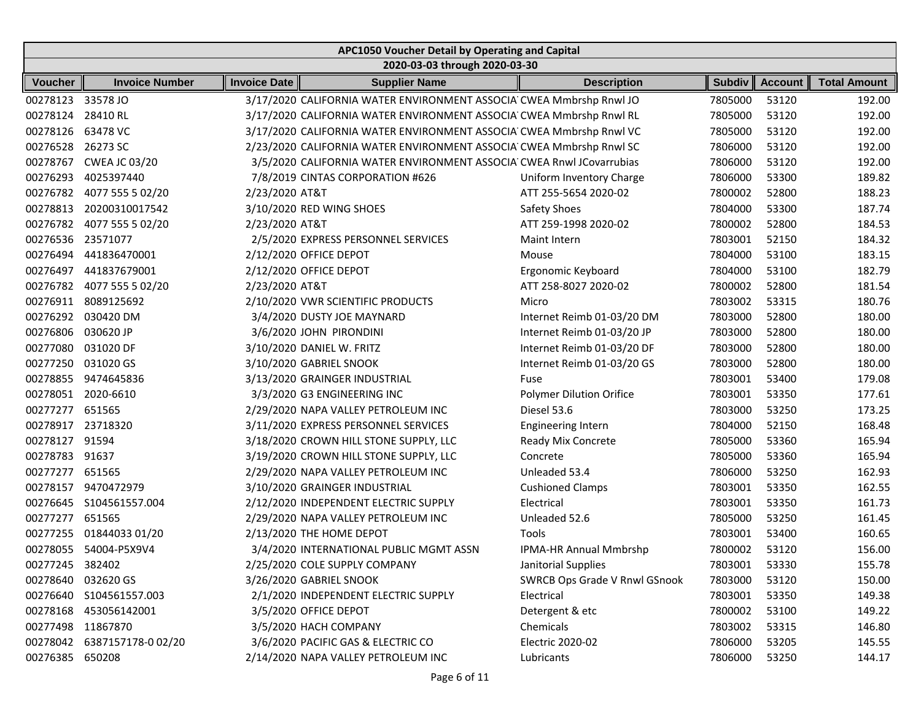|                   | APC1050 Voucher Detail by Operating and Capital |                     |                                                                      |                                 |               |                |                     |  |  |  |  |
|-------------------|-------------------------------------------------|---------------------|----------------------------------------------------------------------|---------------------------------|---------------|----------------|---------------------|--|--|--|--|
|                   |                                                 |                     | 2020-03-03 through 2020-03-30                                        |                                 |               |                |                     |  |  |  |  |
| <b>Voucher</b>    | <b>Invoice Number</b>                           | <b>Invoice Date</b> | <b>Supplier Name</b>                                                 | <b>Description</b>              | <b>Subdiv</b> | <b>Account</b> | <b>Total Amount</b> |  |  |  |  |
| 00278123          | 33578 JO                                        |                     | 3/17/2020 CALIFORNIA WATER ENVIRONMENT ASSOCIA CWEA Mmbrshp Rnwl JO  |                                 | 7805000       | 53120          | 192.00              |  |  |  |  |
| 00278124          | 28410 RL                                        |                     | 3/17/2020 CALIFORNIA WATER ENVIRONMENT ASSOCIA CWEA Mmbrshp Rnwl RL  |                                 | 7805000       | 53120          | 192.00              |  |  |  |  |
| 00278126          | 63478 VC                                        |                     | 3/17/2020 CALIFORNIA WATER ENVIRONMENT ASSOCIA CWEA Mmbrshp Rnwl VC  |                                 | 7805000       | 53120          | 192.00              |  |  |  |  |
| 00276528 26273 SC |                                                 |                     | 2/23/2020 CALIFORNIA WATER ENVIRONMENT ASSOCIA CWEA Mmbrshp Rnwl SC  |                                 | 7806000       | 53120          | 192.00              |  |  |  |  |
| 00278767          | <b>CWEA JC 03/20</b>                            |                     | 3/5/2020 CALIFORNIA WATER ENVIRONMENT ASSOCIA CWEA Rnwl JCovarrubias |                                 | 7806000       | 53120          | 192.00              |  |  |  |  |
| 00276293          | 4025397440                                      |                     | 7/8/2019 CINTAS CORPORATION #626                                     | Uniform Inventory Charge        | 7806000       | 53300          | 189.82              |  |  |  |  |
| 00276782          | 4077 555 5 02/20                                | 2/23/2020 AT&T      |                                                                      | ATT 255-5654 2020-02            | 7800002       | 52800          | 188.23              |  |  |  |  |
| 00278813          | 20200310017542                                  |                     | 3/10/2020 RED WING SHOES                                             | Safety Shoes                    | 7804000       | 53300          | 187.74              |  |  |  |  |
| 00276782          | 4077 555 5 02/20                                | 2/23/2020 AT&T      |                                                                      | ATT 259-1998 2020-02            | 7800002       | 52800          | 184.53              |  |  |  |  |
| 00276536          | 23571077                                        |                     | 2/5/2020 EXPRESS PERSONNEL SERVICES                                  | Maint Intern                    | 7803001       | 52150          | 184.32              |  |  |  |  |
| 00276494          | 441836470001                                    |                     | 2/12/2020 OFFICE DEPOT                                               | Mouse                           | 7804000       | 53100          | 183.15              |  |  |  |  |
| 00276497          | 441837679001                                    |                     | 2/12/2020 OFFICE DEPOT                                               | Ergonomic Keyboard              | 7804000       | 53100          | 182.79              |  |  |  |  |
| 00276782          | 4077 555 5 02/20                                | 2/23/2020 AT&T      |                                                                      | ATT 258-8027 2020-02            | 7800002       | 52800          | 181.54              |  |  |  |  |
| 00276911          | 8089125692                                      |                     | 2/10/2020 VWR SCIENTIFIC PRODUCTS                                    | Micro                           | 7803002       | 53315          | 180.76              |  |  |  |  |
|                   | 00276292 030420 DM                              |                     | 3/4/2020 DUSTY JOE MAYNARD                                           | Internet Reimb 01-03/20 DM      | 7803000       | 52800          | 180.00              |  |  |  |  |
| 00276806          | 030620 JP                                       |                     | 3/6/2020 JOHN PIRONDINI                                              | Internet Reimb 01-03/20 JP      | 7803000       | 52800          | 180.00              |  |  |  |  |
| 00277080          | 031020 DF                                       |                     | 3/10/2020 DANIEL W. FRITZ                                            | Internet Reimb 01-03/20 DF      | 7803000       | 52800          | 180.00              |  |  |  |  |
| 00277250          | 031020 GS                                       |                     | 3/10/2020 GABRIEL SNOOK                                              | Internet Reimb 01-03/20 GS      | 7803000       | 52800          | 180.00              |  |  |  |  |
| 00278855          | 9474645836                                      |                     | 3/13/2020 GRAINGER INDUSTRIAL                                        | Fuse                            | 7803001       | 53400          | 179.08              |  |  |  |  |
| 00278051          | 2020-6610                                       |                     | 3/3/2020 G3 ENGINEERING INC                                          | <b>Polymer Dilution Orifice</b> | 7803001       | 53350          | 177.61              |  |  |  |  |
| 00277277          | 651565                                          |                     | 2/29/2020 NAPA VALLEY PETROLEUM INC                                  | Diesel 53.6                     | 7803000       | 53250          | 173.25              |  |  |  |  |
| 00278917 23718320 |                                                 |                     | 3/11/2020 EXPRESS PERSONNEL SERVICES                                 | <b>Engineering Intern</b>       | 7804000       | 52150          | 168.48              |  |  |  |  |
| 00278127          | 91594                                           |                     | 3/18/2020 CROWN HILL STONE SUPPLY, LLC                               | Ready Mix Concrete              | 7805000       | 53360          | 165.94              |  |  |  |  |
| 00278783          | 91637                                           |                     | 3/19/2020 CROWN HILL STONE SUPPLY, LLC                               | Concrete                        | 7805000       | 53360          | 165.94              |  |  |  |  |
| 00277277          | 651565                                          |                     | 2/29/2020 NAPA VALLEY PETROLEUM INC                                  | Unleaded 53.4                   | 7806000       | 53250          | 162.93              |  |  |  |  |
| 00278157          | 9470472979                                      |                     | 3/10/2020 GRAINGER INDUSTRIAL                                        | <b>Cushioned Clamps</b>         | 7803001       | 53350          | 162.55              |  |  |  |  |
| 00276645          | S104561557.004                                  |                     | 2/12/2020 INDEPENDENT ELECTRIC SUPPLY                                | Electrical                      | 7803001       | 53350          | 161.73              |  |  |  |  |
| 00277277          | 651565                                          |                     | 2/29/2020 NAPA VALLEY PETROLEUM INC                                  | Unleaded 52.6                   | 7805000       | 53250          | 161.45              |  |  |  |  |
| 00277255          | 01844033 01/20                                  |                     | 2/13/2020 THE HOME DEPOT                                             | Tools                           | 7803001       | 53400          | 160.65              |  |  |  |  |
|                   | 00278055 54004-P5X9V4                           |                     | 3/4/2020 INTERNATIONAL PUBLIC MGMT ASSN                              | <b>IPMA-HR Annual Mmbrshp</b>   | 7800002       | 53120          | 156.00              |  |  |  |  |
| 00277245 382402   |                                                 |                     | 2/25/2020 COLE SUPPLY COMPANY                                        | Janitorial Supplies             | 7803001       | 53330          | 155.78              |  |  |  |  |
|                   | 00278640 032620 GS                              |                     | 3/26/2020 GABRIEL SNOOK                                              | SWRCB Ops Grade V Rnwl GSnook   | 7803000       | 53120          | 150.00              |  |  |  |  |
|                   | 00276640 S104561557.003                         |                     | 2/1/2020 INDEPENDENT ELECTRIC SUPPLY                                 | Electrical                      | 7803001       | 53350          | 149.38              |  |  |  |  |
|                   | 00278168 453056142001                           |                     | 3/5/2020 OFFICE DEPOT                                                | Detergent & etc                 | 7800002       | 53100          | 149.22              |  |  |  |  |
| 00277498 11867870 |                                                 |                     | 3/5/2020 HACH COMPANY                                                | Chemicals                       | 7803002       | 53315          | 146.80              |  |  |  |  |
|                   | 00278042 6387157178-002/20                      |                     | 3/6/2020 PACIFIC GAS & ELECTRIC CO                                   | Electric 2020-02                | 7806000       | 53205          | 145.55              |  |  |  |  |
| 00276385 650208   |                                                 |                     | 2/14/2020 NAPA VALLEY PETROLEUM INC                                  | Lubricants                      | 7806000       | 53250          | 144.17              |  |  |  |  |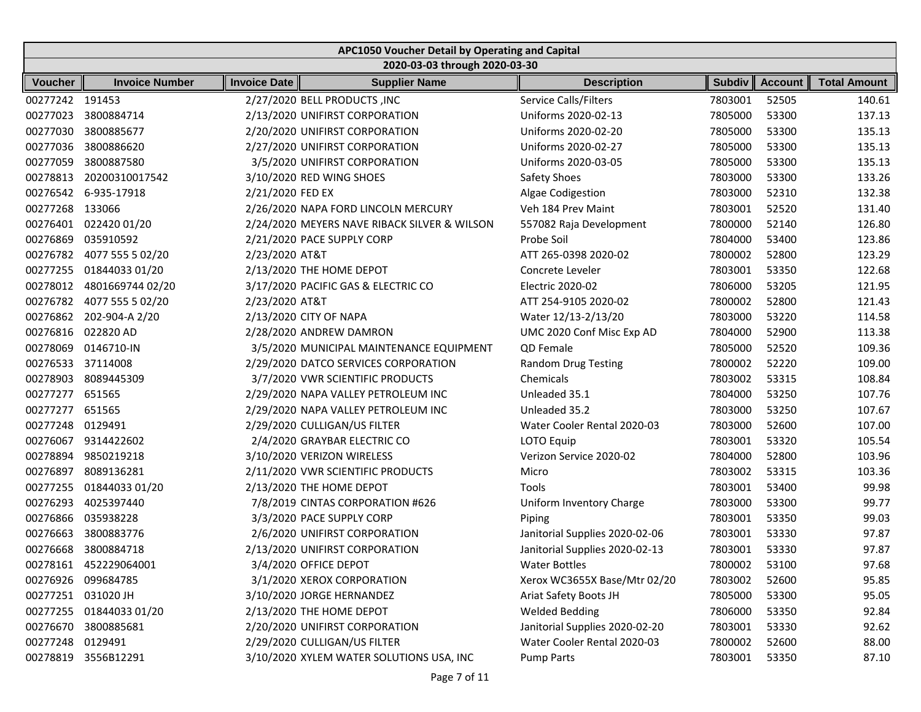|                    | APC1050 Voucher Detail by Operating and Capital |                     |                                              |                                |               |                |                     |  |  |  |
|--------------------|-------------------------------------------------|---------------------|----------------------------------------------|--------------------------------|---------------|----------------|---------------------|--|--|--|
|                    |                                                 |                     | 2020-03-03 through 2020-03-30                |                                |               |                |                     |  |  |  |
| Voucher            | <b>Invoice Number</b>                           | <b>Invoice Date</b> | <b>Supplier Name</b>                         | <b>Description</b>             | <b>Subdiv</b> | <b>Account</b> | <b>Total Amount</b> |  |  |  |
| 00277242 191453    |                                                 |                     | 2/27/2020 BELL PRODUCTS , INC                | Service Calls/Filters          | 7803001       | 52505          | 140.61              |  |  |  |
| 00277023           | 3800884714                                      |                     | 2/13/2020 UNIFIRST CORPORATION               | Uniforms 2020-02-13            | 7805000       | 53300          | 137.13              |  |  |  |
| 00277030           | 3800885677                                      |                     | 2/20/2020 UNIFIRST CORPORATION               | Uniforms 2020-02-20            | 7805000       | 53300          | 135.13              |  |  |  |
| 00277036           | 3800886620                                      |                     | 2/27/2020 UNIFIRST CORPORATION               | Uniforms 2020-02-27            | 7805000       | 53300          | 135.13              |  |  |  |
| 00277059           | 3800887580                                      |                     | 3/5/2020 UNIFIRST CORPORATION                | Uniforms 2020-03-05            | 7805000       | 53300          | 135.13              |  |  |  |
| 00278813           | 20200310017542                                  |                     | 3/10/2020 RED WING SHOES                     | Safety Shoes                   | 7803000       | 53300          | 133.26              |  |  |  |
| 00276542           | 6-935-17918                                     | 2/21/2020 FED EX    |                                              | Algae Codigestion              | 7803000       | 52310          | 132.38              |  |  |  |
| 00277268           | 133066                                          |                     | 2/26/2020 NAPA FORD LINCOLN MERCURY          | Veh 184 Prev Maint             | 7803001       | 52520          | 131.40              |  |  |  |
| 00276401           | 022420 01/20                                    |                     | 2/24/2020 MEYERS NAVE RIBACK SILVER & WILSON | 557082 Raja Development        | 7800000       | 52140          | 126.80              |  |  |  |
| 00276869           | 035910592                                       |                     | 2/21/2020 PACE SUPPLY CORP                   | Probe Soil                     | 7804000       | 53400          | 123.86              |  |  |  |
| 00276782           | 4077 555 5 02/20                                | 2/23/2020 AT&T      |                                              | ATT 265-0398 2020-02           | 7800002       | 52800          | 123.29              |  |  |  |
| 00277255           | 01844033 01/20                                  |                     | 2/13/2020 THE HOME DEPOT                     | Concrete Leveler               | 7803001       | 53350          | 122.68              |  |  |  |
| 00278012           | 4801669744 02/20                                |                     | 3/17/2020 PACIFIC GAS & ELECTRIC CO          | Electric 2020-02               | 7806000       | 53205          | 121.95              |  |  |  |
| 00276782           | 4077 555 5 02/20                                | 2/23/2020 AT&T      |                                              | ATT 254-9105 2020-02           | 7800002       | 52800          | 121.43              |  |  |  |
| 00276862           | 202-904-A 2/20                                  |                     | 2/13/2020 CITY OF NAPA                       | Water 12/13-2/13/20            | 7803000       | 53220          | 114.58              |  |  |  |
| 00276816           | 022820 AD                                       |                     | 2/28/2020 ANDREW DAMRON                      | UMC 2020 Conf Misc Exp AD      | 7804000       | 52900          | 113.38              |  |  |  |
| 00278069           | 0146710-IN                                      |                     | 3/5/2020 MUNICIPAL MAINTENANCE EQUIPMENT     | QD Female                      | 7805000       | 52520          | 109.36              |  |  |  |
| 00276533           | 37114008                                        |                     | 2/29/2020 DATCO SERVICES CORPORATION         | <b>Random Drug Testing</b>     | 7800002       | 52220          | 109.00              |  |  |  |
| 00278903           | 8089445309                                      |                     | 3/7/2020 VWR SCIENTIFIC PRODUCTS             | Chemicals                      | 7803002       | 53315          | 108.84              |  |  |  |
| 00277277           | 651565                                          |                     | 2/29/2020 NAPA VALLEY PETROLEUM INC          | Unleaded 35.1                  | 7804000       | 53250          | 107.76              |  |  |  |
| 00277277           | 651565                                          |                     | 2/29/2020 NAPA VALLEY PETROLEUM INC          | Unleaded 35.2                  | 7803000       | 53250          | 107.67              |  |  |  |
| 00277248           | 0129491                                         |                     | 2/29/2020 CULLIGAN/US FILTER                 | Water Cooler Rental 2020-03    | 7803000       | 52600          | 107.00              |  |  |  |
| 00276067           | 9314422602                                      |                     | 2/4/2020 GRAYBAR ELECTRIC CO                 | LOTO Equip                     | 7803001       | 53320          | 105.54              |  |  |  |
| 00278894           | 9850219218                                      |                     | 3/10/2020 VERIZON WIRELESS                   | Verizon Service 2020-02        | 7804000       | 52800          | 103.96              |  |  |  |
| 00276897           | 8089136281                                      |                     | 2/11/2020 VWR SCIENTIFIC PRODUCTS            | Micro                          | 7803002       | 53315          | 103.36              |  |  |  |
| 00277255           | 01844033 01/20                                  |                     | 2/13/2020 THE HOME DEPOT                     | Tools                          | 7803001       | 53400          | 99.98               |  |  |  |
| 00276293           | 4025397440                                      |                     | 7/8/2019 CINTAS CORPORATION #626             | Uniform Inventory Charge       | 7803000       | 53300          | 99.77               |  |  |  |
| 00276866           | 035938228                                       |                     | 3/3/2020 PACE SUPPLY CORP                    | Piping                         | 7803001       | 53350          | 99.03               |  |  |  |
| 00276663           | 3800883776                                      |                     | 2/6/2020 UNIFIRST CORPORATION                | Janitorial Supplies 2020-02-06 | 7803001       | 53330          | 97.87               |  |  |  |
|                    | 00276668 3800884718                             |                     | 2/13/2020 UNIFIRST CORPORATION               | Janitorial Supplies 2020-02-13 | 7803001       | 53330          | 97.87               |  |  |  |
|                    | 00278161 452229064001                           |                     | 3/4/2020 OFFICE DEPOT                        | <b>Water Bottles</b>           | 7800002       | 53100          | 97.68               |  |  |  |
|                    | 00276926 099684785                              |                     | 3/1/2020 XEROX CORPORATION                   | Xerox WC3655X Base/Mtr 02/20   | 7803002       | 52600          | 95.85               |  |  |  |
| 00277251 031020 JH |                                                 |                     | 3/10/2020 JORGE HERNANDEZ                    | Ariat Safety Boots JH          | 7805000       | 53300          | 95.05               |  |  |  |
|                    | 00277255 01844033 01/20                         |                     | 2/13/2020 THE HOME DEPOT                     | <b>Welded Bedding</b>          | 7806000       | 53350          | 92.84               |  |  |  |
| 00276670           | 3800885681                                      |                     | 2/20/2020 UNIFIRST CORPORATION               | Janitorial Supplies 2020-02-20 | 7803001       | 53330          | 92.62               |  |  |  |
| 00277248           | 0129491                                         |                     | 2/29/2020 CULLIGAN/US FILTER                 | Water Cooler Rental 2020-03    | 7800002       | 52600          | 88.00               |  |  |  |
|                    | 00278819 3556B12291                             |                     | 3/10/2020 XYLEM WATER SOLUTIONS USA, INC     | <b>Pump Parts</b>              | 7803001       | 53350          | 87.10               |  |  |  |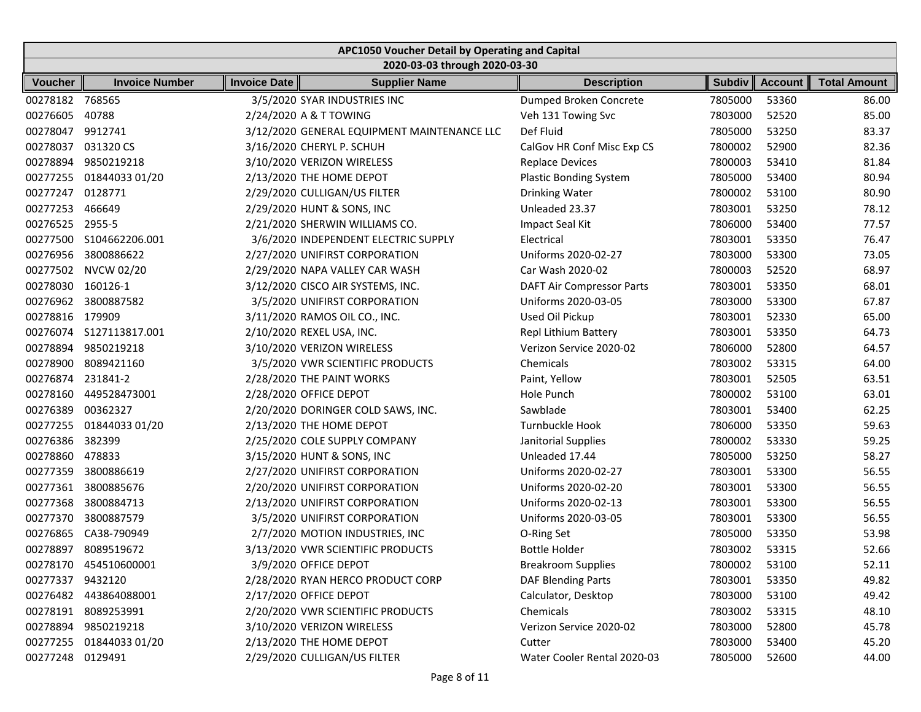|                  | APC1050 Voucher Detail by Operating and Capital |                        |                                             |                                  |               |                |                     |  |  |  |  |
|------------------|-------------------------------------------------|------------------------|---------------------------------------------|----------------------------------|---------------|----------------|---------------------|--|--|--|--|
|                  |                                                 |                        | 2020-03-03 through 2020-03-30               |                                  |               |                |                     |  |  |  |  |
| <b>Voucher</b>   | <b>Invoice Number</b>                           | Invoice Date           | <b>Supplier Name</b>                        | <b>Description</b>               | <b>Subdiv</b> | <b>Account</b> | <b>Total Amount</b> |  |  |  |  |
| 00278182 768565  |                                                 |                        | 3/5/2020 SYAR INDUSTRIES INC                | Dumped Broken Concrete           | 7805000       | 53360          | 86.00               |  |  |  |  |
| 00276605         | 40788                                           |                        | 2/24/2020 A & T TOWING                      | Veh 131 Towing Svc               | 7803000       | 52520          | 85.00               |  |  |  |  |
| 00278047         | 9912741                                         |                        | 3/12/2020 GENERAL EQUIPMENT MAINTENANCE LLC | Def Fluid                        | 7805000       | 53250          | 83.37               |  |  |  |  |
| 00278037         | 031320 CS                                       |                        | 3/16/2020 CHERYL P. SCHUH                   | CalGov HR Conf Misc Exp CS       | 7800002       | 52900          | 82.36               |  |  |  |  |
| 00278894         | 9850219218                                      |                        | 3/10/2020 VERIZON WIRELESS                  | <b>Replace Devices</b>           | 7800003       | 53410          | 81.84               |  |  |  |  |
| 00277255         | 01844033 01/20                                  |                        | 2/13/2020 THE HOME DEPOT                    | <b>Plastic Bonding System</b>    | 7805000       | 53400          | 80.94               |  |  |  |  |
| 00277247         | 0128771                                         |                        | 2/29/2020 CULLIGAN/US FILTER                | Drinking Water                   | 7800002       | 53100          | 80.90               |  |  |  |  |
| 00277253         | 466649                                          |                        | 2/29/2020 HUNT & SONS, INC                  | Unleaded 23.37                   | 7803001       | 53250          | 78.12               |  |  |  |  |
| 00276525         | 2955-5                                          |                        | 2/21/2020 SHERWIN WILLIAMS CO.              | Impact Seal Kit                  | 7806000       | 53400          | 77.57               |  |  |  |  |
| 00277500         | S104662206.001                                  |                        | 3/6/2020 INDEPENDENT ELECTRIC SUPPLY        | Electrical                       | 7803001       | 53350          | 76.47               |  |  |  |  |
| 00276956         | 3800886622                                      |                        | 2/27/2020 UNIFIRST CORPORATION              | Uniforms 2020-02-27              | 7803000       | 53300          | 73.05               |  |  |  |  |
| 00277502         | <b>NVCW 02/20</b>                               |                        | 2/29/2020 NAPA VALLEY CAR WASH              | Car Wash 2020-02                 | 7800003       | 52520          | 68.97               |  |  |  |  |
| 00278030         | 160126-1                                        |                        | 3/12/2020 CISCO AIR SYSTEMS, INC.           | <b>DAFT Air Compressor Parts</b> | 7803001       | 53350          | 68.01               |  |  |  |  |
| 00276962         | 3800887582                                      |                        | 3/5/2020 UNIFIRST CORPORATION               | Uniforms 2020-03-05              | 7803000       | 53300          | 67.87               |  |  |  |  |
| 00278816         | 179909                                          |                        | 3/11/2020 RAMOS OIL CO., INC.               | Used Oil Pickup                  | 7803001       | 52330          | 65.00               |  |  |  |  |
|                  | 00276074 S127113817.001                         |                        | 2/10/2020 REXEL USA, INC.                   | <b>Repl Lithium Battery</b>      | 7803001       | 53350          | 64.73               |  |  |  |  |
| 00278894         | 9850219218                                      |                        | 3/10/2020 VERIZON WIRELESS                  | Verizon Service 2020-02          | 7806000       | 52800          | 64.57               |  |  |  |  |
| 00278900         | 8089421160                                      |                        | 3/5/2020 VWR SCIENTIFIC PRODUCTS            | Chemicals                        | 7803002       | 53315          | 64.00               |  |  |  |  |
| 00276874         | 231841-2                                        |                        | 2/28/2020 THE PAINT WORKS                   | Paint, Yellow                    | 7803001       | 52505          | 63.51               |  |  |  |  |
| 00278160         | 449528473001                                    | 2/28/2020 OFFICE DEPOT |                                             | Hole Punch                       | 7800002       | 53100          | 63.01               |  |  |  |  |
| 00276389         | 00362327                                        |                        | 2/20/2020 DORINGER COLD SAWS, INC.          | Sawblade                         | 7803001       | 53400          | 62.25               |  |  |  |  |
| 00277255         | 01844033 01/20                                  |                        | 2/13/2020 THE HOME DEPOT                    | Turnbuckle Hook                  | 7806000       | 53350          | 59.63               |  |  |  |  |
| 00276386         | 382399                                          |                        | 2/25/2020 COLE SUPPLY COMPANY               | Janitorial Supplies              | 7800002       | 53330          | 59.25               |  |  |  |  |
| 00278860         | 478833                                          |                        | 3/15/2020 HUNT & SONS, INC                  | Unleaded 17.44                   | 7805000       | 53250          | 58.27               |  |  |  |  |
| 00277359         | 3800886619                                      |                        | 2/27/2020 UNIFIRST CORPORATION              | Uniforms 2020-02-27              | 7803001       | 53300          | 56.55               |  |  |  |  |
| 00277361         | 3800885676                                      |                        | 2/20/2020 UNIFIRST CORPORATION              | Uniforms 2020-02-20              | 7803001       | 53300          | 56.55               |  |  |  |  |
| 00277368         | 3800884713                                      |                        | 2/13/2020 UNIFIRST CORPORATION              | Uniforms 2020-02-13              | 7803001       | 53300          | 56.55               |  |  |  |  |
| 00277370         | 3800887579                                      |                        | 3/5/2020 UNIFIRST CORPORATION               | Uniforms 2020-03-05              | 7803001       | 53300          | 56.55               |  |  |  |  |
| 00276865         | CA38-790949                                     |                        | 2/7/2020 MOTION INDUSTRIES, INC             | O-Ring Set                       | 7805000       | 53350          | 53.98               |  |  |  |  |
| 00278897         | 8089519672                                      |                        | 3/13/2020 VWR SCIENTIFIC PRODUCTS           | <b>Bottle Holder</b>             | 7803002       | 53315          | 52.66               |  |  |  |  |
|                  | 00278170 454510600001                           |                        | 3/9/2020 OFFICE DEPOT                       | <b>Breakroom Supplies</b>        | 7800002       | 53100          | 52.11               |  |  |  |  |
| 00277337 9432120 |                                                 |                        | 2/28/2020 RYAN HERCO PRODUCT CORP           | <b>DAF Blending Parts</b>        | 7803001       | 53350          | 49.82               |  |  |  |  |
|                  | 00276482 443864088001                           |                        | 2/17/2020 OFFICE DEPOT                      | Calculator, Desktop              | 7803000       | 53100          | 49.42               |  |  |  |  |
|                  | 00278191 8089253991                             |                        | 2/20/2020 VWR SCIENTIFIC PRODUCTS           | Chemicals                        | 7803002       | 53315          | 48.10               |  |  |  |  |
| 00278894         | 9850219218                                      |                        | 3/10/2020 VERIZON WIRELESS                  | Verizon Service 2020-02          | 7803000       | 52800          | 45.78               |  |  |  |  |
|                  | 00277255 01844033 01/20                         |                        | 2/13/2020 THE HOME DEPOT                    | Cutter                           | 7803000       | 53400          | 45.20               |  |  |  |  |
| 00277248 0129491 |                                                 |                        | 2/29/2020 CULLIGAN/US FILTER                | Water Cooler Rental 2020-03      | 7805000       | 52600          | 44.00               |  |  |  |  |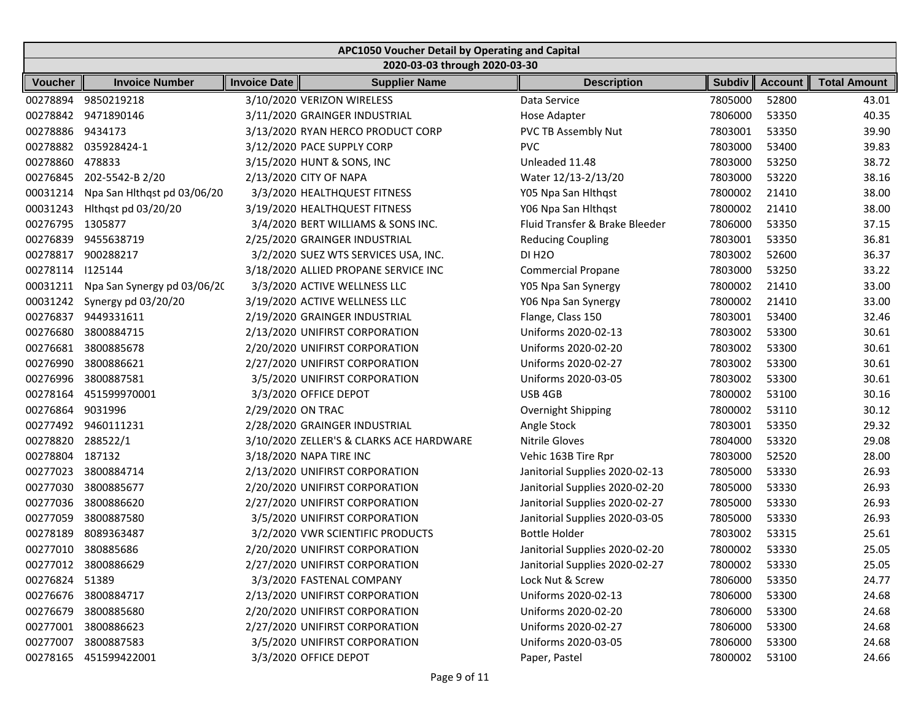|                | APC1050 Voucher Detail by Operating and Capital |                     |                                          |                                |               |                |                     |  |  |  |
|----------------|-------------------------------------------------|---------------------|------------------------------------------|--------------------------------|---------------|----------------|---------------------|--|--|--|
|                |                                                 |                     | 2020-03-03 through 2020-03-30            |                                |               |                |                     |  |  |  |
| <b>Voucher</b> | <b>Invoice Number</b>                           | <b>Invoice Date</b> | <b>Supplier Name</b>                     | <b>Description</b>             | <b>Subdiv</b> | <b>Account</b> | <b>Total Amount</b> |  |  |  |
| 00278894       | 9850219218                                      |                     | 3/10/2020 VERIZON WIRELESS               | Data Service                   | 7805000       | 52800          | 43.01               |  |  |  |
| 00278842       | 9471890146                                      |                     | 3/11/2020 GRAINGER INDUSTRIAL            | Hose Adapter                   | 7806000       | 53350          | 40.35               |  |  |  |
| 00278886       | 9434173                                         |                     | 3/13/2020 RYAN HERCO PRODUCT CORP        | PVC TB Assembly Nut            | 7803001       | 53350          | 39.90               |  |  |  |
| 00278882       | 035928424-1                                     |                     | 3/12/2020 PACE SUPPLY CORP               | <b>PVC</b>                     | 7803000       | 53400          | 39.83               |  |  |  |
| 00278860       | 478833                                          |                     | 3/15/2020 HUNT & SONS, INC               | Unleaded 11.48                 | 7803000       | 53250          | 38.72               |  |  |  |
| 00276845       | 202-5542-B 2/20                                 |                     | 2/13/2020 CITY OF NAPA                   | Water 12/13-2/13/20            | 7803000       | 53220          | 38.16               |  |  |  |
| 00031214       | Npa San Hithqst pd 03/06/20                     |                     | 3/3/2020 HEALTHQUEST FITNESS             | Y05 Npa San Hithqst            | 7800002       | 21410          | 38.00               |  |  |  |
| 00031243       | Hithqst pd 03/20/20                             |                     | 3/19/2020 HEALTHQUEST FITNESS            | Y06 Npa San Hlthqst            | 7800002       | 21410          | 38.00               |  |  |  |
| 00276795       | 1305877                                         |                     | 3/4/2020 BERT WILLIAMS & SONS INC.       | Fluid Transfer & Brake Bleeder | 7806000       | 53350          | 37.15               |  |  |  |
| 00276839       | 9455638719                                      |                     | 2/25/2020 GRAINGER INDUSTRIAL            | <b>Reducing Coupling</b>       | 7803001       | 53350          | 36.81               |  |  |  |
| 00278817       | 900288217                                       |                     | 3/2/2020 SUEZ WTS SERVICES USA, INC.     | <b>DI H2O</b>                  | 7803002       | 52600          | 36.37               |  |  |  |
| 00278114       | 1125144                                         |                     | 3/18/2020 ALLIED PROPANE SERVICE INC     | <b>Commercial Propane</b>      | 7803000       | 53250          | 33.22               |  |  |  |
| 00031211       | Npa San Synergy pd 03/06/20                     |                     | 3/3/2020 ACTIVE WELLNESS LLC             | Y05 Npa San Synergy            | 7800002       | 21410          | 33.00               |  |  |  |
| 00031242       | Synergy pd 03/20/20                             |                     | 3/19/2020 ACTIVE WELLNESS LLC            | Y06 Npa San Synergy            | 7800002       | 21410          | 33.00               |  |  |  |
| 00276837       | 9449331611                                      |                     | 2/19/2020 GRAINGER INDUSTRIAL            | Flange, Class 150              | 7803001       | 53400          | 32.46               |  |  |  |
| 00276680       | 3800884715                                      |                     | 2/13/2020 UNIFIRST CORPORATION           | Uniforms 2020-02-13            | 7803002       | 53300          | 30.61               |  |  |  |
| 00276681       | 3800885678                                      |                     | 2/20/2020 UNIFIRST CORPORATION           | Uniforms 2020-02-20            | 7803002       | 53300          | 30.61               |  |  |  |
| 00276990       | 3800886621                                      |                     | 2/27/2020 UNIFIRST CORPORATION           | Uniforms 2020-02-27            | 7803002       | 53300          | 30.61               |  |  |  |
| 00276996       | 3800887581                                      |                     | 3/5/2020 UNIFIRST CORPORATION            | Uniforms 2020-03-05            | 7803002       | 53300          | 30.61               |  |  |  |
| 00278164       | 451599970001                                    |                     | 3/3/2020 OFFICE DEPOT                    | USB 4GB                        | 7800002       | 53100          | 30.16               |  |  |  |
| 00276864       | 9031996                                         | 2/29/2020 ON TRAC   |                                          | Overnight Shipping             | 7800002       | 53110          | 30.12               |  |  |  |
| 00277492       | 9460111231                                      |                     | 2/28/2020 GRAINGER INDUSTRIAL            | Angle Stock                    | 7803001       | 53350          | 29.32               |  |  |  |
| 00278820       | 288522/1                                        |                     | 3/10/2020 ZELLER'S & CLARKS ACE HARDWARE | <b>Nitrile Gloves</b>          | 7804000       | 53320          | 29.08               |  |  |  |
| 00278804       | 187132                                          |                     | 3/18/2020 NAPA TIRE INC                  | Vehic 163B Tire Rpr            | 7803000       | 52520          | 28.00               |  |  |  |
| 00277023       | 3800884714                                      |                     | 2/13/2020 UNIFIRST CORPORATION           | Janitorial Supplies 2020-02-13 | 7805000       | 53330          | 26.93               |  |  |  |
| 00277030       | 3800885677                                      |                     | 2/20/2020 UNIFIRST CORPORATION           | Janitorial Supplies 2020-02-20 | 7805000       | 53330          | 26.93               |  |  |  |
| 00277036       | 3800886620                                      |                     | 2/27/2020 UNIFIRST CORPORATION           | Janitorial Supplies 2020-02-27 | 7805000       | 53330          | 26.93               |  |  |  |
| 00277059       | 3800887580                                      |                     | 3/5/2020 UNIFIRST CORPORATION            | Janitorial Supplies 2020-03-05 | 7805000       | 53330          | 26.93               |  |  |  |
| 00278189       | 8089363487                                      |                     | 3/2/2020 VWR SCIENTIFIC PRODUCTS         | <b>Bottle Holder</b>           | 7803002       | 53315          | 25.61               |  |  |  |
| 00277010       | 380885686                                       |                     | 2/20/2020 UNIFIRST CORPORATION           | Janitorial Supplies 2020-02-20 | 7800002       | 53330          | 25.05               |  |  |  |
|                | 00277012 3800886629                             |                     | 2/27/2020 UNIFIRST CORPORATION           | Janitorial Supplies 2020-02-27 | 7800002       | 53330          | 25.05               |  |  |  |
| 00276824 51389 |                                                 |                     | 3/3/2020 FASTENAL COMPANY                | Lock Nut & Screw               | 7806000       | 53350          | 24.77               |  |  |  |
|                | 00276676 3800884717                             |                     | 2/13/2020 UNIFIRST CORPORATION           | Uniforms 2020-02-13            | 7806000       | 53300          | 24.68               |  |  |  |
| 00276679       | 3800885680                                      |                     | 2/20/2020 UNIFIRST CORPORATION           | Uniforms 2020-02-20            | 7806000       | 53300          | 24.68               |  |  |  |
|                | 00277001 3800886623                             |                     | 2/27/2020 UNIFIRST CORPORATION           | Uniforms 2020-02-27            | 7806000       | 53300          | 24.68               |  |  |  |
| 00277007       | 3800887583                                      |                     | 3/5/2020 UNIFIRST CORPORATION            | Uniforms 2020-03-05            | 7806000       | 53300          | 24.68               |  |  |  |
| 00278165       | 451599422001                                    |                     | 3/3/2020 OFFICE DEPOT                    | Paper, Pastel                  | 7800002       | 53100          | 24.66               |  |  |  |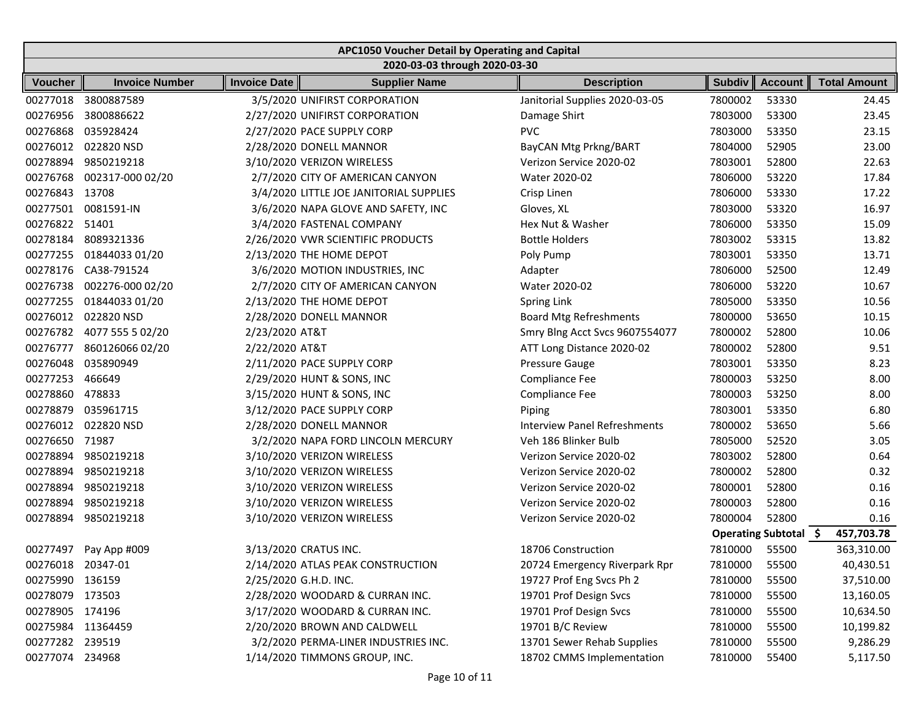|                   | APC1050 Voucher Detail by Operating and Capital |                       |                                         |  |                                     |               |                       |                     |  |  |
|-------------------|-------------------------------------------------|-----------------------|-----------------------------------------|--|-------------------------------------|---------------|-----------------------|---------------------|--|--|
|                   |                                                 |                       | 2020-03-03 through 2020-03-30           |  |                                     |               |                       |                     |  |  |
| <b>Voucher</b>    | <b>Invoice Number</b>                           | <b>Invoice Date</b>   | <b>Supplier Name</b>                    |  | <b>Description</b>                  | <b>Subdiv</b> | <b>Account</b>        | <b>Total Amount</b> |  |  |
| 00277018          | 3800887589                                      |                       | 3/5/2020 UNIFIRST CORPORATION           |  | Janitorial Supplies 2020-03-05      | 7800002       | 53330                 | 24.45               |  |  |
| 00276956          | 3800886622                                      |                       | 2/27/2020 UNIFIRST CORPORATION          |  | Damage Shirt                        | 7803000       | 53300                 | 23.45               |  |  |
| 00276868          | 035928424                                       |                       | 2/27/2020 PACE SUPPLY CORP              |  | <b>PVC</b>                          | 7803000       | 53350                 | 23.15               |  |  |
| 00276012          | 022820 NSD                                      |                       | 2/28/2020 DONELL MANNOR                 |  | BayCAN Mtg Prkng/BART               | 7804000       | 52905                 | 23.00               |  |  |
| 00278894          | 9850219218                                      |                       | 3/10/2020 VERIZON WIRELESS              |  | Verizon Service 2020-02             | 7803001       | 52800                 | 22.63               |  |  |
| 00276768          | 002317-000 02/20                                |                       | 2/7/2020 CITY OF AMERICAN CANYON        |  | Water 2020-02                       | 7806000       | 53220                 | 17.84               |  |  |
| 00276843          | 13708                                           |                       | 3/4/2020 LITTLE JOE JANITORIAL SUPPLIES |  | Crisp Linen                         | 7806000       | 53330                 | 17.22               |  |  |
| 00277501          | 0081591-IN                                      |                       | 3/6/2020 NAPA GLOVE AND SAFETY, INC     |  | Gloves, XL                          | 7803000       | 53320                 | 16.97               |  |  |
| 00276822          | 51401                                           |                       | 3/4/2020 FASTENAL COMPANY               |  | Hex Nut & Washer                    | 7806000       | 53350                 | 15.09               |  |  |
| 00278184          | 8089321336                                      |                       | 2/26/2020 VWR SCIENTIFIC PRODUCTS       |  | <b>Bottle Holders</b>               | 7803002       | 53315                 | 13.82               |  |  |
| 00277255          | 01844033 01/20                                  |                       | 2/13/2020 THE HOME DEPOT                |  | Poly Pump                           | 7803001       | 53350                 | 13.71               |  |  |
| 00278176          | CA38-791524                                     |                       | 3/6/2020 MOTION INDUSTRIES, INC         |  | Adapter                             | 7806000       | 52500                 | 12.49               |  |  |
| 00276738          | 002276-000 02/20                                |                       | 2/7/2020 CITY OF AMERICAN CANYON        |  | Water 2020-02                       | 7806000       | 53220                 | 10.67               |  |  |
| 00277255          | 01844033 01/20                                  |                       | 2/13/2020 THE HOME DEPOT                |  | Spring Link                         | 7805000       | 53350                 | 10.56               |  |  |
| 00276012          | 022820 NSD                                      |                       | 2/28/2020 DONELL MANNOR                 |  | <b>Board Mtg Refreshments</b>       | 7800000       | 53650                 | 10.15               |  |  |
| 00276782          | 4077 555 5 02/20                                | 2/23/2020 AT&T        |                                         |  | Smry Blng Acct Svcs 9607554077      | 7800002       | 52800                 | 10.06               |  |  |
| 00276777          | 860126066 02/20                                 | 2/22/2020 AT&T        |                                         |  | ATT Long Distance 2020-02           | 7800002       | 52800                 | 9.51                |  |  |
| 00276048          | 035890949                                       |                       | 2/11/2020 PACE SUPPLY CORP              |  | Pressure Gauge                      | 7803001       | 53350                 | 8.23                |  |  |
| 00277253          | 466649                                          |                       | 2/29/2020 HUNT & SONS, INC              |  | Compliance Fee                      | 7800003       | 53250                 | 8.00                |  |  |
| 00278860          | 478833                                          |                       | 3/15/2020 HUNT & SONS, INC              |  | Compliance Fee                      | 7800003       | 53250                 | 8.00                |  |  |
| 00278879          | 035961715                                       |                       | 3/12/2020 PACE SUPPLY CORP              |  | Piping                              | 7803001       | 53350                 | 6.80                |  |  |
| 00276012          | 022820 NSD                                      |                       | 2/28/2020 DONELL MANNOR                 |  | <b>Interview Panel Refreshments</b> | 7800002       | 53650                 | 5.66                |  |  |
| 00276650          | 71987                                           |                       | 3/2/2020 NAPA FORD LINCOLN MERCURY      |  | Veh 186 Blinker Bulb                | 7805000       | 52520                 | 3.05                |  |  |
| 00278894          | 9850219218                                      |                       | 3/10/2020 VERIZON WIRELESS              |  | Verizon Service 2020-02             | 7803002       | 52800                 | 0.64                |  |  |
| 00278894          | 9850219218                                      |                       | 3/10/2020 VERIZON WIRELESS              |  | Verizon Service 2020-02             | 7800002       | 52800                 | 0.32                |  |  |
| 00278894          | 9850219218                                      |                       | 3/10/2020 VERIZON WIRELESS              |  | Verizon Service 2020-02             | 7800001       | 52800                 | 0.16                |  |  |
| 00278894          | 9850219218                                      |                       | 3/10/2020 VERIZON WIRELESS              |  | Verizon Service 2020-02             | 7800003       | 52800                 | 0.16                |  |  |
| 00278894          | 9850219218                                      |                       | 3/10/2020 VERIZON WIRELESS              |  | Verizon Service 2020-02             | 7800004       | 52800                 | 0.16                |  |  |
|                   |                                                 |                       |                                         |  |                                     |               | Operating Subtotal \$ | 457,703.78          |  |  |
| 00277497          | Pay App #009                                    | 3/13/2020 CRATUS INC. |                                         |  | 18706 Construction                  | 7810000       | 55500                 | 363,310.00          |  |  |
| 00276018 20347-01 |                                                 |                       | 2/14/2020 ATLAS PEAK CONSTRUCTION       |  | 20724 Emergency Riverpark Rpr       | 7810000       | 55500                 | 40,430.51           |  |  |
| 00275990 136159   |                                                 | 2/25/2020 G.H.D. INC. |                                         |  | 19727 Prof Eng Svcs Ph 2            | 7810000       | 55500                 | 37,510.00           |  |  |
| 00278079          | 173503                                          |                       | 2/28/2020 WOODARD & CURRAN INC.         |  | 19701 Prof Design Svcs              | 7810000       | 55500                 | 13,160.05           |  |  |
| 00278905 174196   |                                                 |                       | 3/17/2020 WOODARD & CURRAN INC.         |  | 19701 Prof Design Svcs              | 7810000       | 55500                 | 10,634.50           |  |  |
|                   | 00275984 11364459                               |                       | 2/20/2020 BROWN AND CALDWELL            |  | 19701 B/C Review                    | 7810000       | 55500                 | 10,199.82           |  |  |
| 00277282 239519   |                                                 |                       | 3/2/2020 PERMA-LINER INDUSTRIES INC.    |  | 13701 Sewer Rehab Supplies          | 7810000       | 55500                 | 9,286.29            |  |  |
| 00277074 234968   |                                                 |                       | 1/14/2020 TIMMONS GROUP, INC.           |  | 18702 CMMS Implementation           | 7810000       | 55400                 | 5,117.50            |  |  |